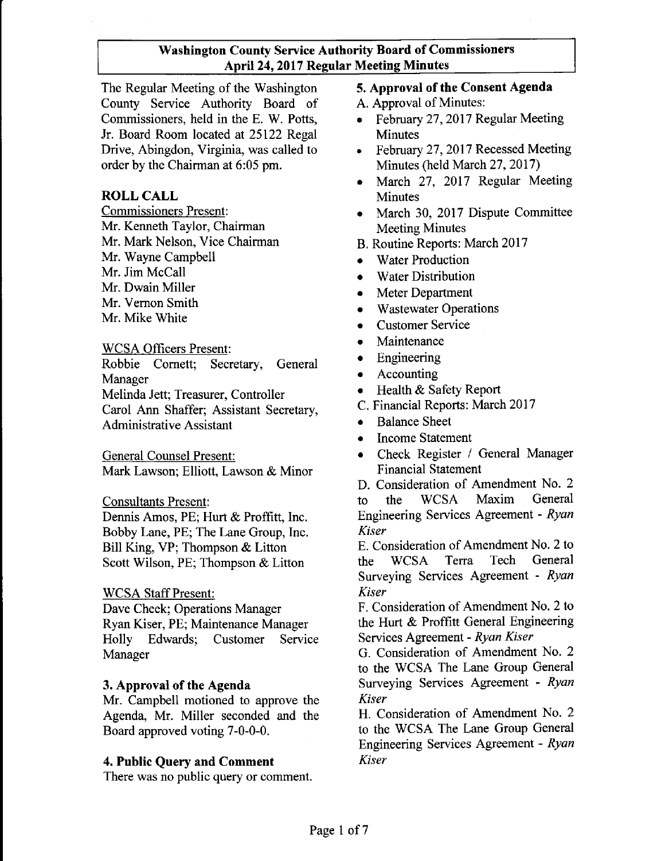The Regular Meeting of the Washington County Service Authority Board of Commissioners, held in the E. W. Potts, Jr. Board Room located at 25122 Regal Drive, Abingdon, Virginia, was called to order by the Chairman at 6:05 pm.

#### **ROLL CALL**

Commissioners Present: Mr. Kenneth Taylor, Chairman Mr. Mark Nelson, Vice Chairman Mr. Wayne Campbell Mr. Jim McCall Mr. Dwain Miller Mr. Vernon Smith Mr. Mike White

WCSA Officers Present:

Robbie Cornett; Secretary, General Manager Melinda Jett; Treasurer, Controller Carol Ann Shaffer; Assistant Secretary, Administrative Assistant

General Counsel Present: Mark Lawson; Elliott, Lawson & Minor

Consultants Present:

Dennis Amos, PE; Hurt & Proffitt, Inc. Bobby Lane, PE; The Lane Group, Inc. Bill King, VP; Thompson & Litton Scott Wilson, PE; Thompson & Litton

#### WCSA Staff Present:

Dave Cheek; Operations Manager Ryan Kiser, PE; Maintenance Manager Holly Edwards; Customer Service Manager

#### 3. Approval of the Agenda

Mr. Campbell motioned to approve the Agenda, Mr. Miller seconded and the Board approved voting 7-0-0-0.

#### 4. Public Query and Comment

There was no public query or comment.

#### 5. Approval of the Consent Agenda

- A. Approval of Minutes:
- February 27, 2017 Regular Meeting **Minutes**
- February 27, 2017 Recessed Meeting Minutes (held March 27, 2017)
- March 27, 2017 Regular Meeting Minutes
- March 30, 2017 Dispute Committee Meeting Minutes
- B. Routine Reports: March 2017
- Water Production
- **Water Distribution**
- Meter Department
- Wastewater Operations
- Customer Service
- **Maintenance**
- Engineering
- Accounting
- Health & Safety Report
- C. Financial Reports: March 2017
- Balance Sheet
- Income Statement
- Check Register / General Manager Financial Statement

D. Consideration of Amendment No. 2 to the WCSA Maxim General Engineering Services Agreement - *Ryan Kiser*

E. Consideration of Amendment No. 2 to the WCSA Terra Tech General Surveying Services Agreement - *Ryan Kiser*

F. Consideration of Amendment No.2 to the Hurt & Proffitt General Engineering Services Agreement - *Ryan Kiser*

G. Consideration of Amendment No. 2 to the WCSA The Lane Group General Surveying Services Agreement - *Ryan Kiser*

H. Consideration of Amendment No. 2 to the WCSA The Lane Group General Engineering Services Agreement - *Ryan Kiser*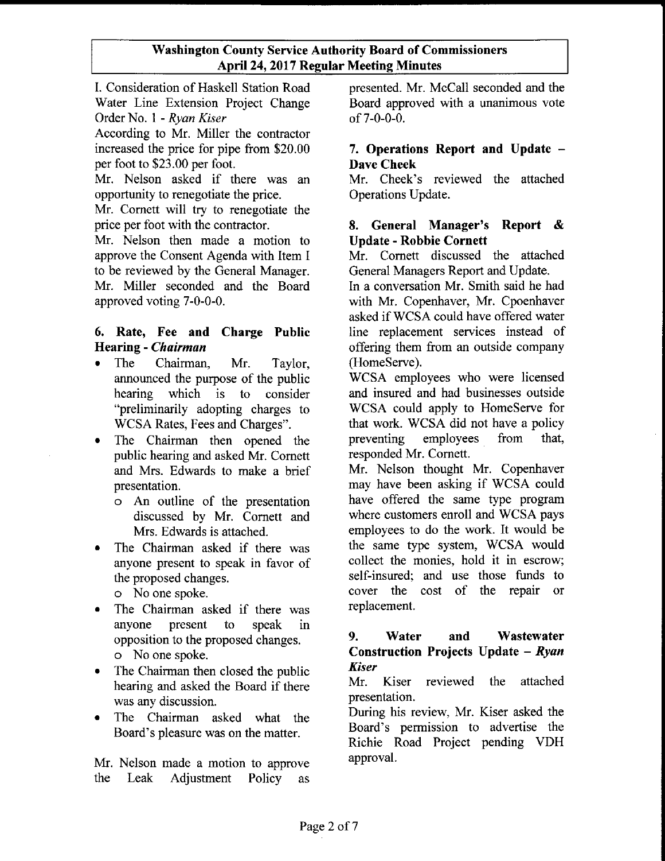1. Consideration of Haskell Station Road Water Line Extension Project Change Order No. 1 - *Ryan Kiser*

According to Mr. Miller the contractor increased the price for pipe from \$20.00 per foot to \$23.00 per foot.

Mr. Nelson asked if there was an opportunity to renegotiate the price.

Mr. Cornett will try to renegotiate the price per foot with the contractor.

Mr. Nelson then made a motion to approve the Consent Agenda with Item I to be reviewed by the General Manager. Mr. Miller seconded and the Board approved voting 7-0-0-0.

#### 6. Rate, Fee and Charge Public Hearing - *Chairman*

- The Chairman, Mr. Taylor, announced the purpose of the public hearing which is to consider "preliminarily adopting charges to WCSA Rates, Fees and Charges".
- The Chairman then opened the public hearing and asked Mr. Cornett and Mrs. Edwards to make a brief presentation.
	- a An outline of the presentation discussed by Mr. Cornett and Mrs. Edwards is attached.
- The Chairman asked if there was anyone present to speak in favor of the proposed changes.
	- a No one spoke.
- The Chairman asked if there was anyone present to speak in opposition to the proposed changes. a No one spoke.
- The Chairman then closed the public hearing and asked the Board if there was any discussion.
- The Chairman asked what the Board's pleasure was on the matter.

Mr. Nelson made a motion to approve the Leak Adjustment Policy as presented. Mr. McCall seconded and the Board approved with a unanimous vote of7-0-0-0.

#### 7. Operations Report and Update - Dave Cheek

Mr. Cheek's reviewed the attached Operations Update.

#### 8. General Manager's Report & Update - Robbie Cornett

Mr. Cornett discussed the attached General Managers Report and Update.

In a conversation Mr. Smith said he had with Mr. Copenhaver, Mr. Cpoenhaver asked ifWCSA could have offered water line replacement services instead of offering them from an outside company (HomeServe).

WCSA employees who were licensed and insured and had businesses outside WCSA could apply to HomeServe for that work. WCSA did not have a policy preventing employees from that, responded Mr. Cornett.

Mr. Nelson thought Mr. Copenhaver may have been asking if WCSA could have offered the same type program where customers enroll and WCSA pays employees to do the work. It would be the same type system, WCSA would collect the monies, hold it in escrow; self-insured; and use those funds to cover the cost of the repair or replacement.

#### 9. Water and Wastewater Construction Projects Update - *Ryan Kiser*

Mr. Kiser reviewed the attached presentation.

During his review, Mr. Kiser asked the Board's permission to advertise the Richie Road Project pending VDH approval.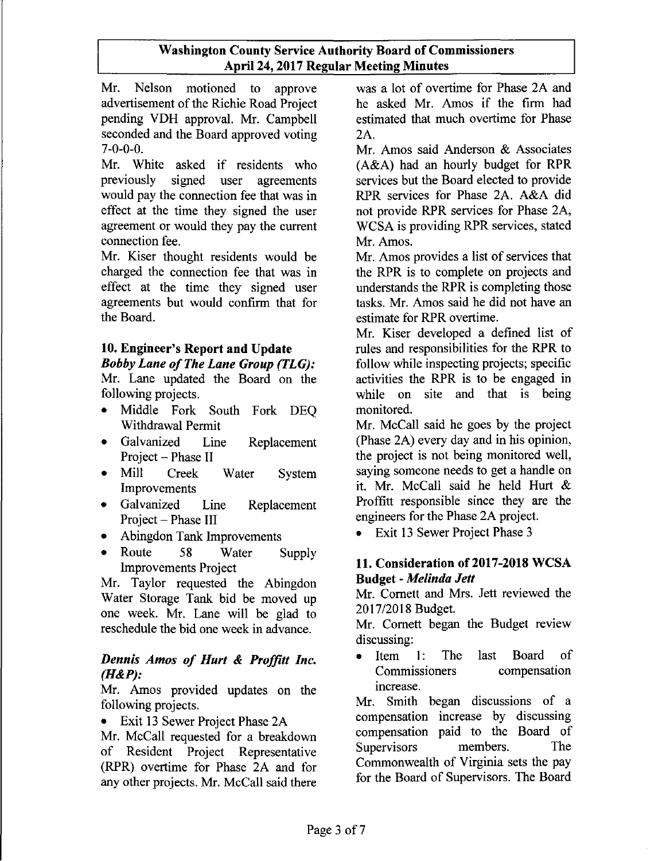Mr. Nelson motioned to approve advertisement of the Richie Road Project pending VDH approval. Mr. Campbell seconded and the Board approved voting 7-0-0-0.

Mr. White asked if residents who previously signed user agreements would pay the connection fee that was in effect at the time they signed the user agreement or would they pay the current connection fee.

Mr. Kiser thought residents would be charged the connection fee that was in effect at the time they signed user agreements but would confirm that for the Board.

#### **10. Engineer's Report and Update** *Bobby Lane ofThe Lane Group (TLG):*

Mr. Lane updated the Board on the following projects.

- Middle Fork South Fork DEQ Withdrawal Permit
- Galvanized Line Replacement Project - Phase II
- Mill Creek Water System Improvements
- Galvanized Line Replacement Project - Phase III
- Abingdon Tank Improvements
- Route 58 Water Supply Improvements Project

Mr. Taylor requested the Abingdon Water Storage Tank bid be moved up one week. Mr. Lane will be glad to reschedule the bid one week in advance.

#### *Dennis Amos of Hurt* **&** *Proffitt Inc. (H&P):*

Mr. Amos provided updates on the following projects.

• Exit 13 Sewer Project Phase 2A

Mr. McCall requested for a breakdown of Resident Project Representative (RPR) overtime for Phase 2A and for any other projects. Mr. McCall said there was a lot of overtime for Phase 2A and he asked Mr. Amos if the firm had estimated that much overtime for Phase 2A.

Mr. Amos said Anderson & Associates (A&A) had an hourly budget for RPR services but the Board elected to provide RPR services for Phase 2A. A&A did not provide RPR services for Phase 2A, WCSA is providing RPR services, stated Mr. Amos.

Mr. Amos provides a list of services that the RPR is to complete on projects and understands the RPR is completing those tasks. Mr. Amos said he did not have an estimate for RPR overtime.

Mr. Kiser developed a defined list of rules and responsibilities for the RPR to follow while inspecting projects; specific activities the RPR is to be engaged in while on site and that is being monitored.

Mr. McCall said he goes by the project (Phase 2A) every day and in his opinion, the project is not being monitored well, saying someone needs to get a handle on it. Mr. McCall said he held Hurt & Proffitt responsible since they are the engineers for the Phase 2A project.

• Exit 13 Sewer Project Phase 3

#### **11. Consideration** of 2017-2018 **WCSA Budget -** *Melinda Jett*

Mr. Cornett and Mrs. *lett* reviewed the 2017/2018 Budget.

Mr. Cornett began the Budget review discussing:

• Item 1: The last Board of Commissioners compensation increase.

Mr. Smith began discussions of a compensation increase by discussing compensation paid to the Board of Supervisors members. The Commonwealth of Virginia sets the pay for the Board of Supervisors. The Board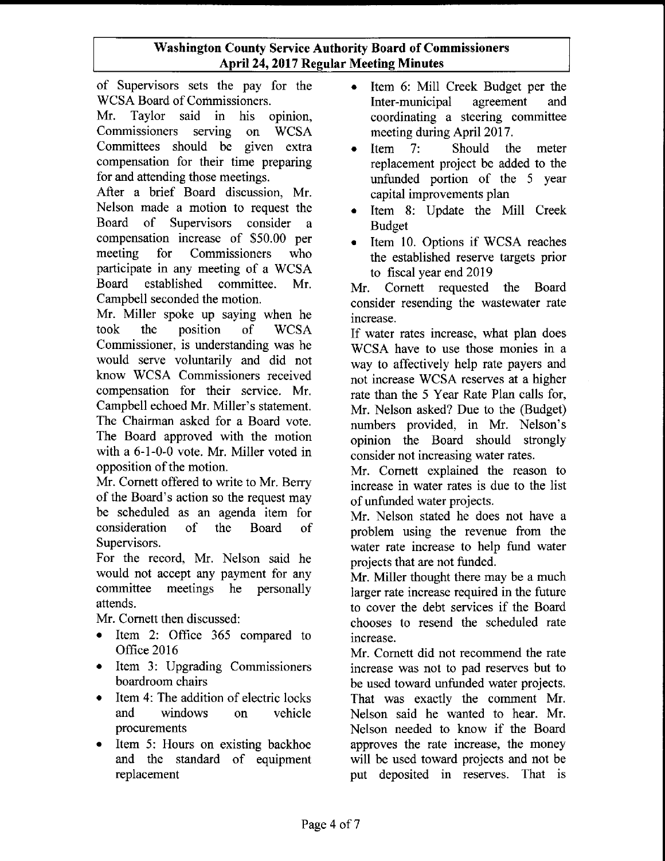of Supervisors sets the pay for the WCSA Board of Commissioners.

Mr. Taylor said in his opinion, Commissioners serving on WCSA Committees should be given extra compensation for their time preparing for and attending those meetings.

After a brief Board discussion, Mr. Nelson made a motion to request the Board of Supervisors consider a compensation increase of \$50.00 per meeting for Commissioners who participate in any meeting of a WCSA Board established committee. Mr. Campbell seconded the motion.

Mr. Miller spoke up saying when he took the position of WCSA Commissioner, is understanding was he would serve voluntarily and did not know WCSA Commissioners received compensation for their service. Mr. Campbell echoed Mr. Miller's statement. The Chairman asked for a Board vote. The Board approved with the motion with a 6-1-0-0 vote. Mr. Miller voted in opposition of the motion.

Mr. Cornett offered to write to Mr. Berry of the Board's action so the request may be scheduled as an agenda item for consideration of the Board of Supervisors.

For the record, Mr. Nelson said he would not accept any payment for any committee meetings he personally attends.

Mr. Cornett then discussed:

- Item 2: Office 365 compared to Office 2016
- Item 3: Upgrading Commissioners boardroom chairs
- Item 4: The addition of electric locks and windows on vehicle procurements
- Item 5: Hours on existing backhoe and the standard of equipment replacement
- Item 6: Mill Creek Budget per the<br>Inter-municipal agreement and Inter-municipal agreement and coordinating a steering committee meeting during April 2017.
- Item 7: Should the meter replacement project be added to the unfunded portion of the 5 year capital improvements plan
- Item 8: Update the Mill Creek Budget
- Item 10. Options if WCSA reaches the established reserve targets prior to fiscal year end 2019

Mr. Cornett requested the Board consider resending the wastewater rate increase.

If water rates increase, what plan does WCSA have to use those monies in a way to affectively help rate payers and not increase WCSA reserves at a higher rate than the 5 Year Rate Plan calls for, Mr. Nelson asked? Due to the (Budget) numbers provided, in Mr. Nelson's opinion the Board should strongly consider not increasing water rates.

Mr. Cornett explained the reason to increase in water rates is due to the list of unfunded water projects.

Mr. Nelson stated he does not have a problem using the revenue from the water rate increase to help fund water projects that are not funded.

Mr. Miller thought there may be a much larger rate increase required in the future to cover the debt services if the Board chooses to resend the scheduled rate increase.

Mr. Cornett did not recommend the rate increase was not to pad reserves but to be used toward unfunded water projects. That was exactly the comment Mr. Nelson said he wanted to hear. Mr. Nelson needed to know if the Board approves the rate increase, the money will be used toward projects and not be put deposited in reserves. That is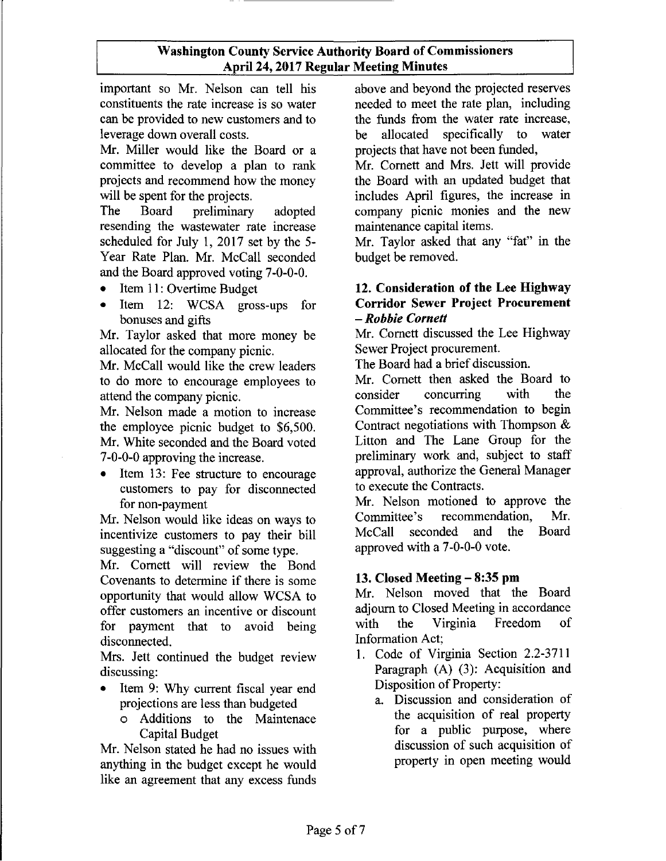important so Mr. Nelson can tell his constituents the rate increase is so water can be provided to new customers and to leverage down overall costs.

Mr. Miller would like the Board or a committee to develop a plan to rank projects and recommend how the money will be spent for the projects.

The Board preliminary adopted resending the wastewater rate increase scheduled for July 1, 2017 set by the 5- Year Rate Plan. Mr. McCall seconded and the Board approved voting 7-0-0-0.

- Item 11: Overtime Budget
- Item 12: WCSA gross-ups for bonuses and gifts

Mr. Taylor asked that more money be allocated for the company picnic.

Mr. McCall would like the crew leaders to do more to encourage employees to attend the company picnic.

Mr. Nelson made a motion to increase the employee picnic budget to \$6,500. Mr. White seconded and the Board voted 7-0-0-0 approving the increase.

• Item 13: Fee structure to encourage customers to pay for disconnected for non-payment

Mr. Nelson would like ideas on ways to incentivize customers to pay their bill suggesting a "discount" of some type.

Mr. Cornett will review the Bond Covenants to determine if there is some opportunity that would allow WCSA to offer customers an incentive or discount for payment that to avoid being disconnected.

Mrs. Jett continued the budget review discussing:

- Item 9: Why current fiscal year end projections are less than budgeted
	- o Additions to the Maintenace Capital Budget

Mr. Nelson stated he had no issues with anything in the budget except he would like an agreement that any excess funds

above and beyond the projected reserves needed to meet the rate plan, including the funds from the water rate increase, be allocated specifically to water projects that have not been funded,

Mr. Cornett and Mrs. Jett will provide the Board with an updated budget that includes April figures, the increase in company picnic monies and the new maintenance capital items.

Mr. Taylor asked that any "fat" in the budget be removed.

#### 12. Consideration of the Lee Highway Corridor Sewer Project Procurement *- Robbie Cornett*

Mr. Cornett discussed the Lee Highway Sewer Project procurement.

The Board had a brief discussion.

Mr. Cornett then asked the Board to consider concurring with the Committee's recommendation to begin Contract negotiations with Thompson & Litton and The Lane Group for the preliminary work and, subject to staff approval, authorize the General Manager to execute the Contracts.

Mr. Nelson motioned to approve the Committee's recommendation, Mr. McCall seconded and the Board approved with a 7-0-0-0 vote.

#### 13. Closed Meeting - 8:35 **pm**

Mr. Nelson moved that the Board adjourn to Closed Meeting in accordance with the Virginia Freedom of Information Act;

- 1. Code of Virginia Section 2.2-3711 Paragraph (A) (3): Acquisition and Disposition of Property:
	- a. Discussion and consideration of the acquisition of real property for a public purpose, where discussion of such acquisition of property in open meeting would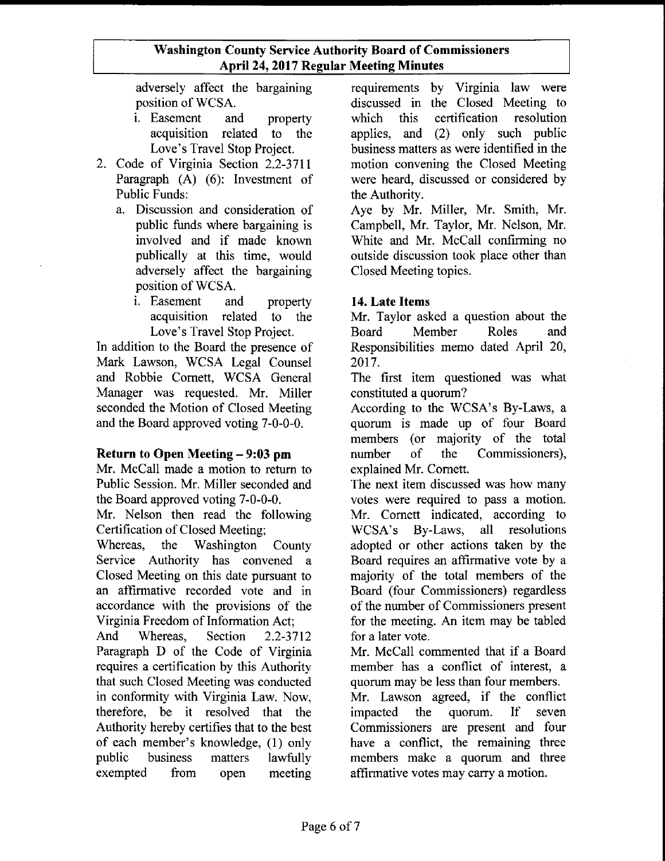adversely affect the bargaining position of WCSA.

- i. Easement and property acquisition related to the Love's Travel Stop Project.
- 2. Code of Virginia Section 2.2-3711 Paragraph (A) (6): Investment of Public Funds:
	- a. Discussion and consideration of public funds where bargaining is involved and if made known publically at this time, would adversely affect the bargaining position of WCSA.
		- i. Easement and property acquisition related to the Love's Travel Stop Project.

In addition to the Board the presence of Mark Lawson, WCSA Legal Counsel and Robbie Cornett, WCSA General Manager was requested. Mr. Miller seconded the Motion of Closed Meeting and the Board approved voting 7-0-0-0.

#### Return to Open Meeting - 9:03 pm

Mr. McCall made a motion to return to Public Session. Mr. Miller seconded and the Board approved voting 7-0-0-0.

Mr. Nelson then read the following Certification of Closed Meeting;

Whereas, the Washington County Service Authority has convened a Closed Meeting on this date pursuant to an affirmative recorded vote and in accordance with the provisions of the Virginia Freedom of Information Act;

And Whereas, Section 2.2-3712 Paragraph D of the Code of Virginia requires a certification by this Authority that such Closed Meeting was conducted in conformity with Virginia Law. Now, therefore, be it resolved that the Authority hereby certifies that to the best of each member's knowledge, (1) only public business matters lawfully exempted from open meeting requirements by Virginia law were discussed in the Closed Meeting to which this certification resolution applies, and (2) only such public business matters as were identified in the motion convening the Closed Meeting were heard, discussed or considered by the Authority.

Aye by Mr. Miller, Mr. Smith, Mr. Campbell, Mr. Taylor, Mr. Nelson, Mr. White and Mr. McCall confirming no outside discussion took place other than Closed Meeting topics.

#### 14. Late Items

Mr. Taylor asked a question about the Board Member Roles and Responsibilities memo dated April 20, 2017.

The first item questioned was what constituted a quorum?

According to the WCSA's By-Laws, a quorum is made up of four Board members (or majority of the total number of the Commissioners), explained Mr. Cornett.

The next item discussed was how many votes were required to pass a motion. Mr. Cornett indicated, according to WCSA's By-Laws, all resolutions adopted or other actions taken by the Board requires an affirmative vote by a majority of the total members of the Board (four Commissioners) regardless of the number of Commissioners present for the meeting. An item may be tabled for a later vote.

Mr. McCall commented that if a Board member has a conflict of interest, a quorum may be less than four members. Mr. Lawson agreed, if the conflict impacted the quorum. If seven Commissioners are present and four have a conflict, the remaining three members make a quorum and three affirmative votes may carry a motion.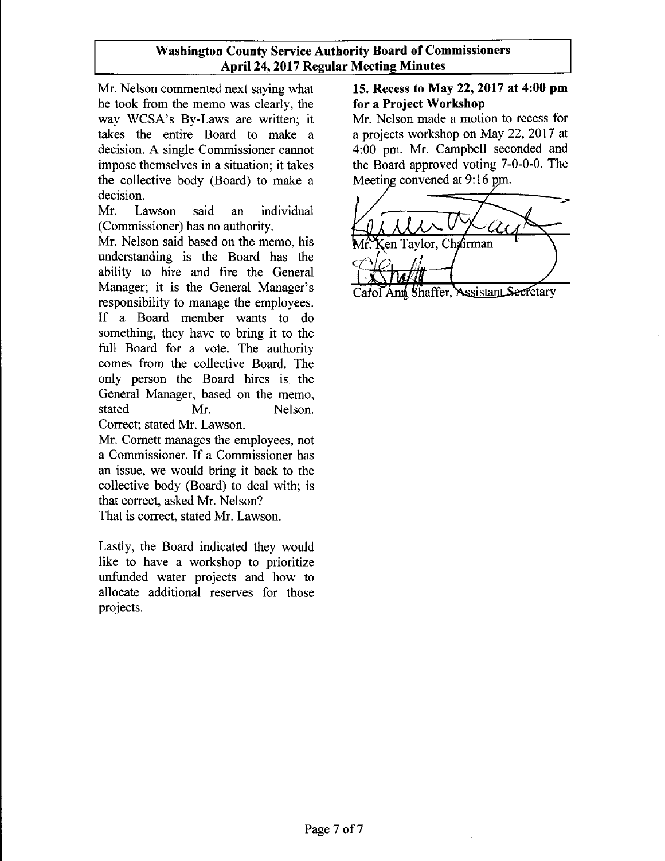Mr. Nelson commented next saying what he took from the memo was clearly, the way WCSA's By-Laws are written; it takes the entire Board to make a decision. A single Commissioner cannot impose themselves in a situation; it takes the collective body (Board) to make a decision.

Mr. Lawson said an individual (Commissioner) has no authority.

Mr. Nelson said based on the memo, his understanding is the Board has the ability to hire and fire the General Manager; it is the General Manager's responsibility to manage the employees. **If** a Board member wants to do something, they have to bring it to the full Board for a vote. The authority comes from the collective Board. The only person the Board hires is the General Manager, based on the memo, stated Mr. Nelson. Correct; stated Mr. Lawson.

Mr. Cornett manages the employees, not a Commissioner. If a Commissioner has an issue, we would bring it back to the collective body (Board) to deal with; is that correct, asked Mr. Nelson?

That is correct, stated Mr. Lawson.

Lastly, the Board indicated they would like to have a workshop to prioritize unfunded water projects and how to allocate additional reserves for those projects.

#### **15. Recess to May 22, 2017 at 4:00 pm for a Project Workshop**

Mr. Nelson made a motion to recess for a projects workshop on May 22, 2017 at 4:00 pm. Mr. Campbell seconded and the Board approved voting 7-0-0-0. The Meeting convened at 9:16 pm.

-c::::::::::=-:;f----\_~ en Tavlor, Chairman Shaffer, Assistant Secretary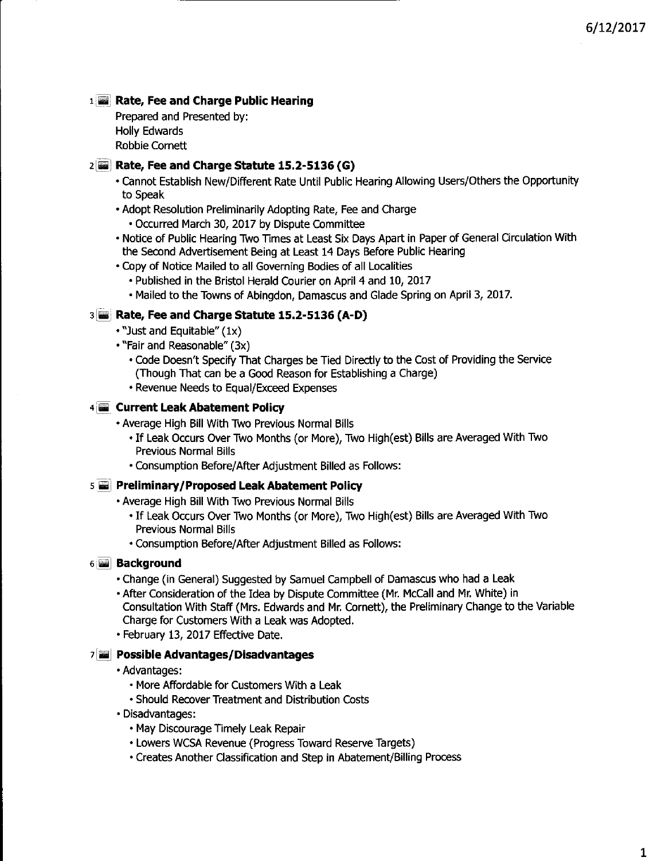#### lliilllJ **Rate, Fee and Charge Public Hearing**

Prepared and Presented by: **Holly Edwards** Robbie Cornett

#### 2~] **Rate, Fee and Charge statute 15.2-5136 (G)**

- cannot Establish New/Different Rate Until Public Hearing Allowing Users/Others the Opportunity to Speak
- Adopt Resolution Preliminarily Adopting Rate, Fee and Charge
	- Occurred March 30, 2017 by Dispute Committee
- Notice of Public Hearing Two Times at Least Six Days Apart in Paper of General Circulation With the Second Advertisement Being at Least 14 Days Before Public Hearing
- Copy of Notice Mailed to all Governing Bodies of all Localities
	- Published in the Bristol Herald Courier on April 4 and 10, 2017
	- Mailed to the Towns of Abingdon, Damascus and Glade Spring on April 3, 2017.

#### 3 **Rate, Fee and Charge Statute 15.2-5136 (A-D)**

- "Just and Equitable"  $(1x)$
- "Fair and Reasonable" (3x)
	- Code Doesn't Specify That Charges be Tied Directly to the Cost of Providing the Service (Though That can be a Good Reason for Establishing a Charge)
	- Revenue Needs to Equal/Exceed Expenses

#### 4~. **Current Leak Abatement Policy**

- Average High Bill With Two Previous Normal Bills
	- •If Leak Occurs OverTwo Months (or More), Two High(est) Bills are Averaged With Two Previous Normal Bills
	- Consumption Before/After Adjustment Billed as Follows:

#### 5.1 **Preliminary/Proposed** Leak Abatement **Policy**

• Average High Bill With Two Previous Normal Bills

- If Leak Occurs Over Two Months (or More), Two High(est) Bills are Averaged With Two Previous Normal Bills
- Consumption Before/After Adjustment Billed as Follows:

#### 6 **Jill** Background

- Change (in General) Suggested by Samuel Campbell of Damascus who had a Leak
- After Consideration of the Idea by Dispute Committee (Mr. Mccall and Mr. White) in Consultation With Staff (Mrs. Edwards and Mr. Cornett), the Preliminary Change to the Variable Charge for Customers With a Leak was Adopted.
- February 13, 2017Effective Date.

#### 7 **PossibleAdvantages/Disadvantages**

- Advantages:
	- More Affordable for Customers With a Leak
	- Should Recover Treatment and Distribution Costs
- Disadvantages:
	- May Discourage Timely Leak Repair
	- Lowers WCSA Revenue (Progress Toward Reserve Targets)
	- Creates Another Classification and Step in Abatement/Billing Process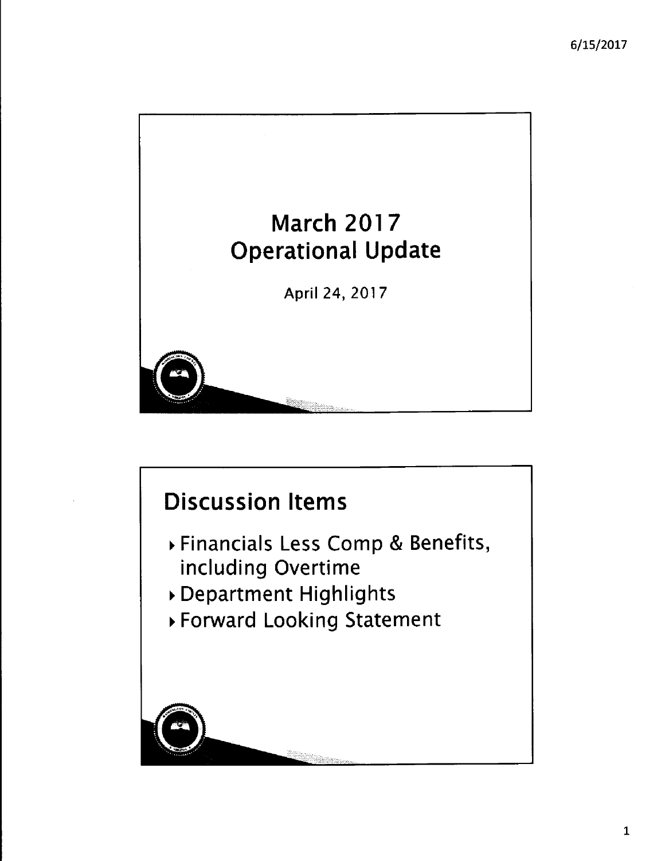

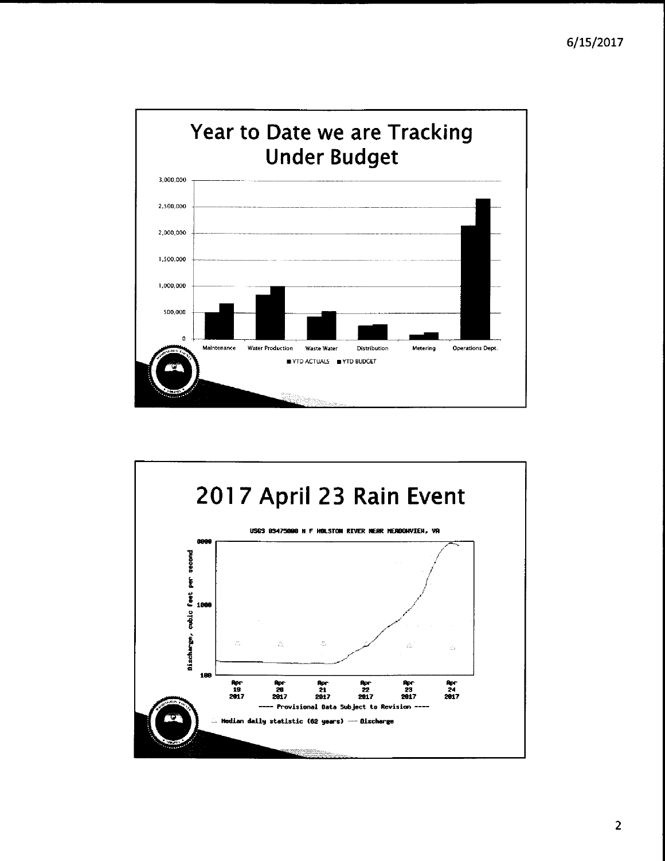

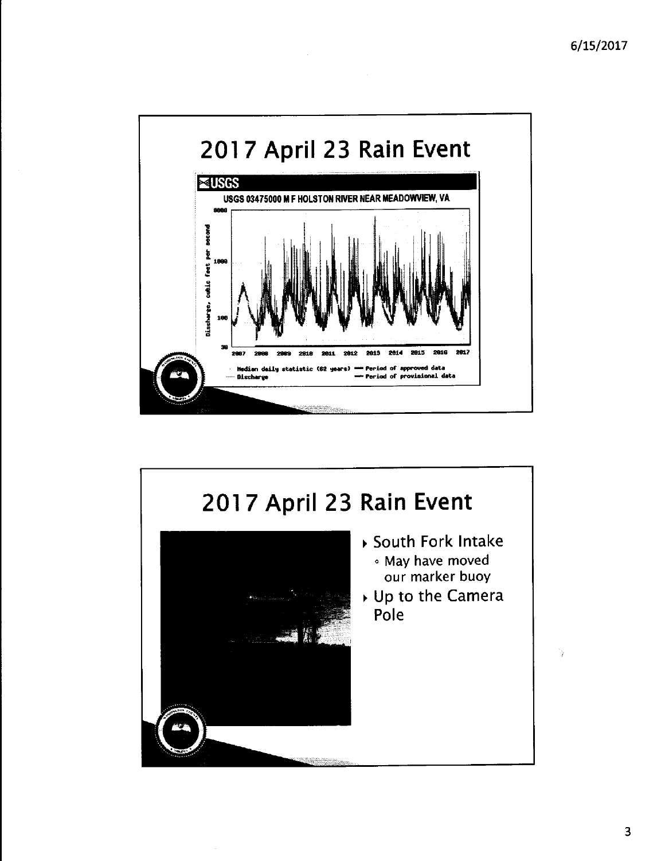

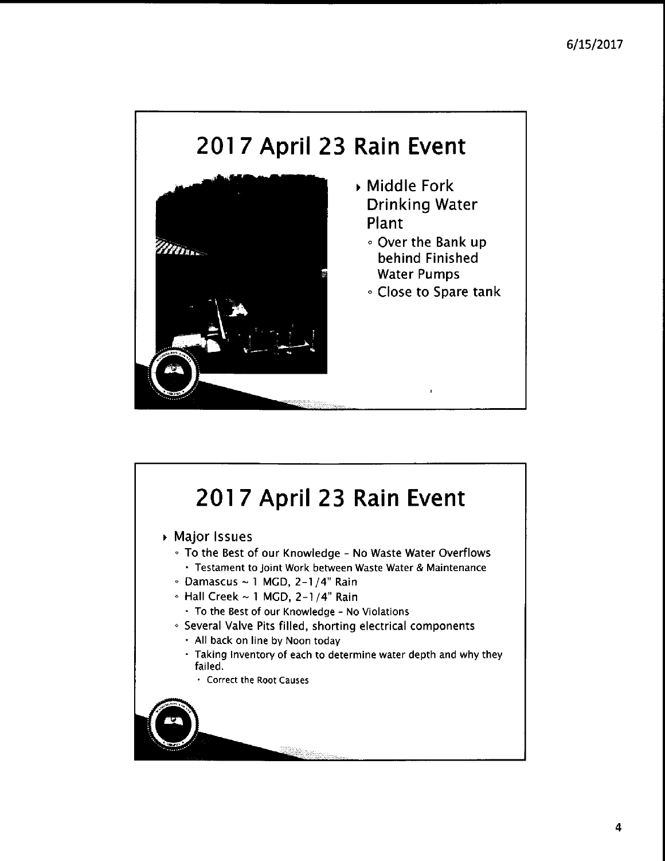# **201 7 April 23 Rain Event**



- Middle Fork Drinking Water Plant
	- <sup>o</sup> Over the Bank up behind Finished Water Pumps
	- <sup>o</sup> Close to Spare tank

# **2017 April 23 Rain Event**

Major Issues

- To the Best of our Knowledge No Waste Water Overflows • Testament to Joint Work between Waste Water & Maintenance
- $\cdot$  Damascus ~ 1 MGD, 2-1/4" Rain
- *<sup>o</sup>* Hall Creek 1 MGD, 2-1/4" Rain
	- To the Best of our Knowledge No Violations
- **.** Several Valve Pits filled, shorting electrical components
	- All back on line by Noon today
	- Taking Inventory of each to determine water depth and why they failed.
		- Correct the Root Causes

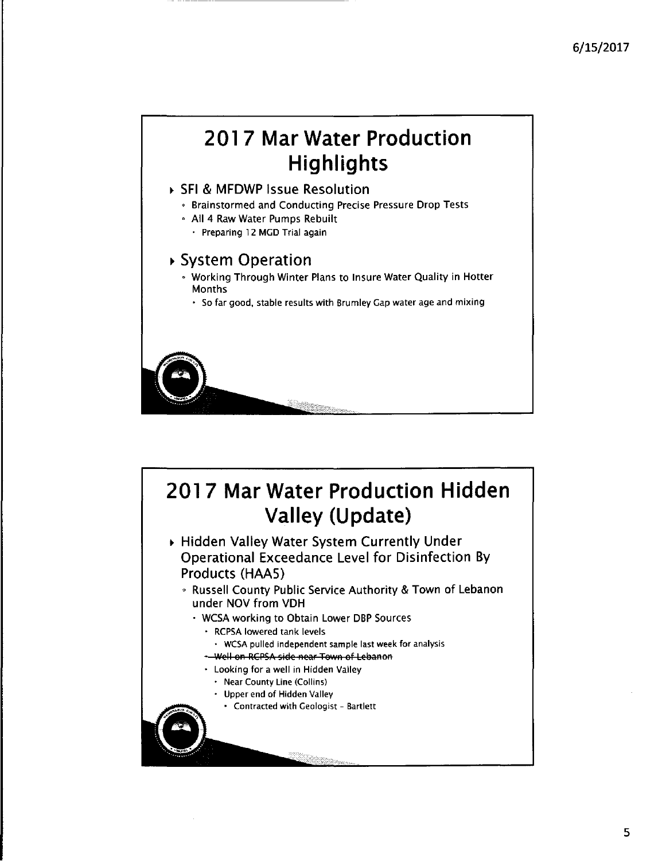# **2017 Mar Water Production Highlights**

#### SFI & MFDWP Issue Resolution

- , Brainstormed and Conducting Precise Pressure Drop Tests
- <sup>e</sup> All 4 Raw Water Pumps Rebuilt
	- · Preparing 12 MGD Trial again

### System Operation

- , Working Through Winter Plans to Insure Water Quality in Hotter Months
	- So far good, stable results with Brumley Gap water age and mixing

# **2017 Mar Water Production Hidden Valley (Update)**

- Hidden Valley Water System Currently Under Operational Exceedance Level for Disinfection By Products (HAAS)
	- <sup>o</sup> Russell County Public Service Authority & Town of Lebanon under NOV from VDH
		- WCSA working to Obtain Lower DBP Sources
			- RCPSA lowered tank levels
			- $\cdot$  WCSA pulled independent sample last week for analysis
			- \* Well on RCPSA side near Town of Lebanon
			- Looking for a well in Hidden Valley
				- Near County Line (Collins)
				- Upper end of Hidden Valley
				- Contractedwith Geologist Bartlett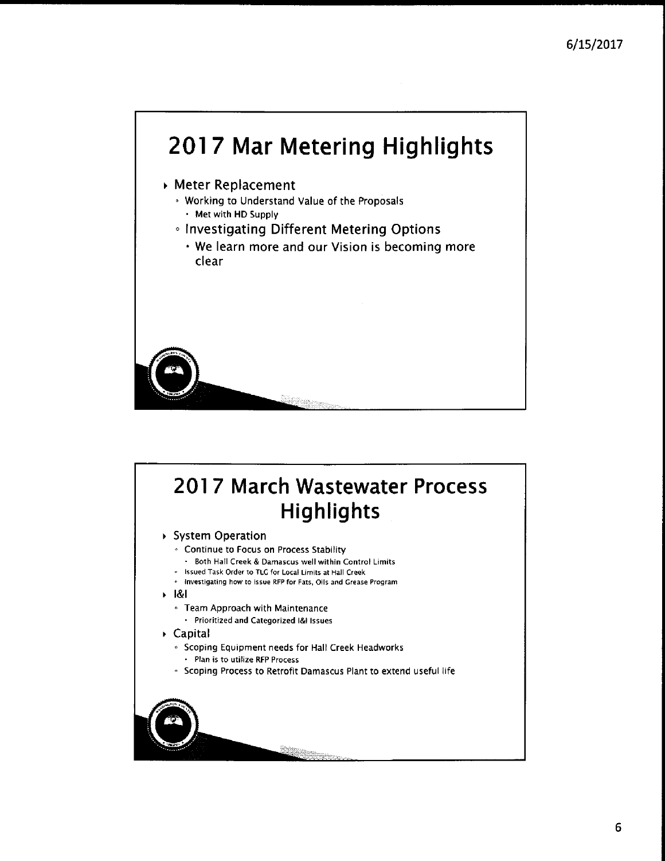

# 201 7 March Wastewater Process **Highlights**

System Operation

- Continue to Focus on Process Stability
- · Both Hall Creek & Damascus well within Control Limits
- Issued Task Order to TLC for Local Limits at Hall Creek
- $\cdot$  Investigating how to Issue RFP for Fats, Oils and Grease Program
- 1&1
	- Team Approach with Maintenance
		- Prioritized and Categorized 1&1 Issues
- Capital
	- Scoping Equipment needs for Hall Creek Headworks
		- Plan is to utilize RFP Process
	- Scoping Process to Retrofit Damascus Plant to extend useful life

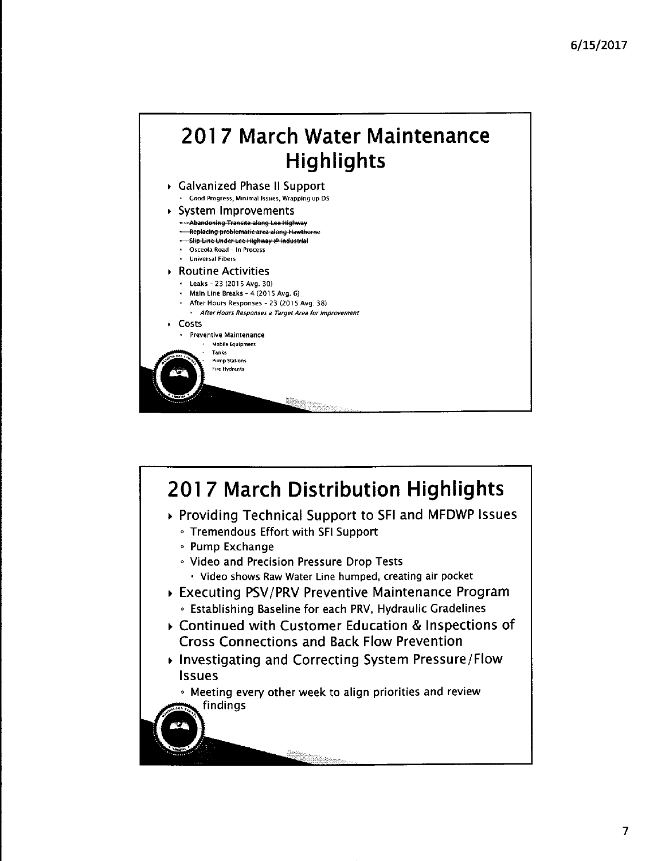

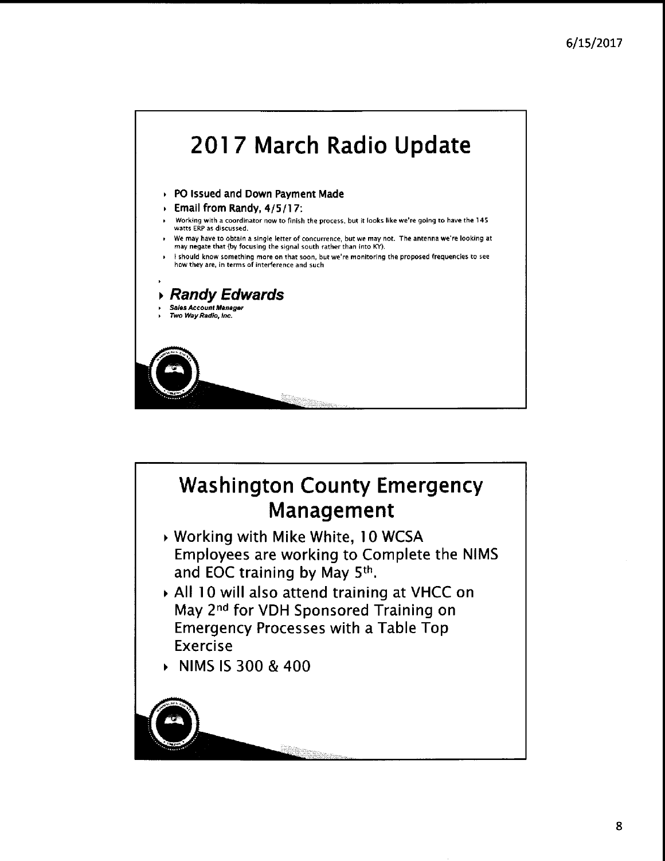

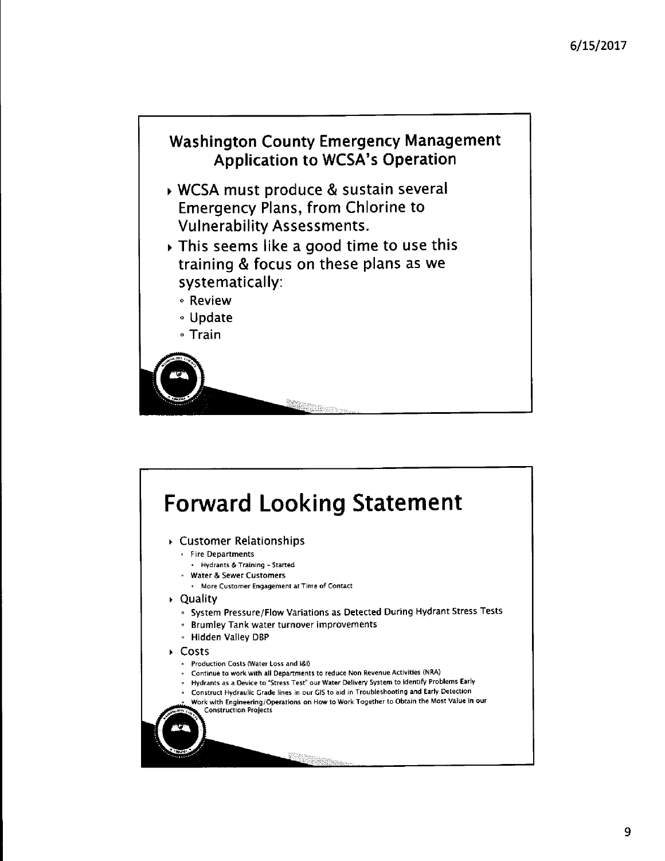

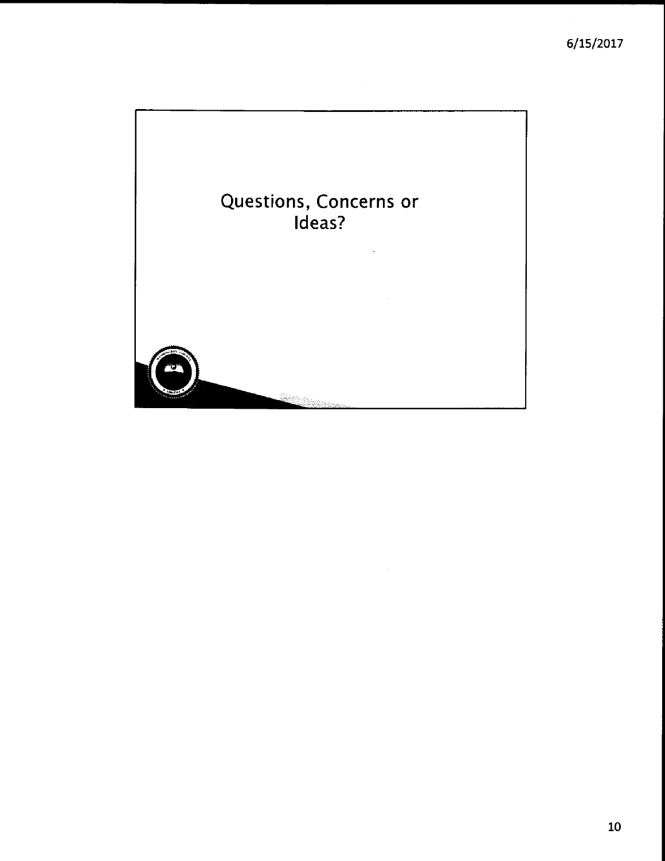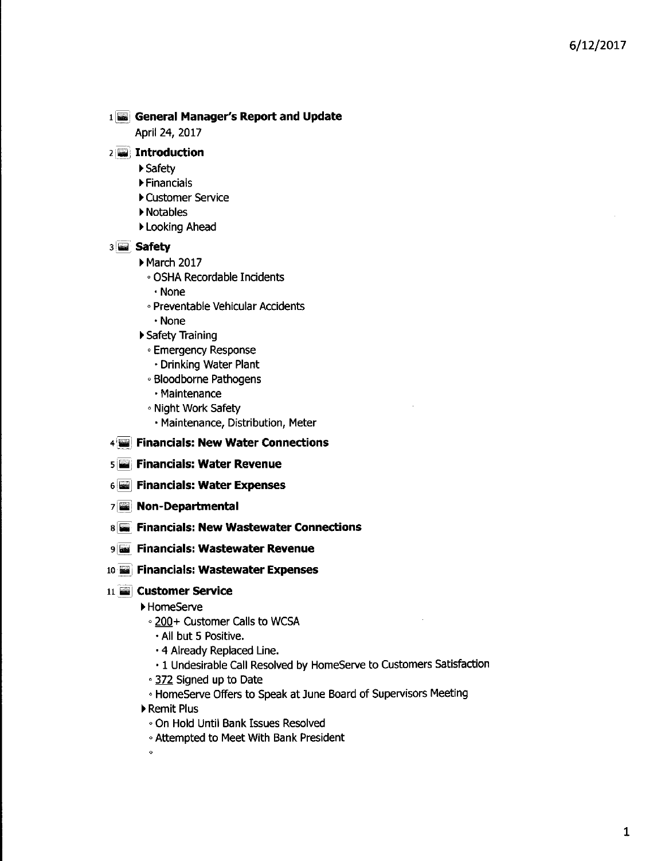#### ll-J **General Manager's Report and Update**

April 24, 2017

#### 2 '!iiii, **Introduction**

- ~Safety
- Financials
- Customer Service
- ~Notables
- Looking Ahead

#### 31iii1 **safety**

- ▶ March 2017
	- <sup>c</sup> OSHA Recordable Incidents
		- None
	- <sup>o</sup> Preventable Vehicular Accidents
	- None
- ▶ Safety Training
	- **Emergency Response** 
		- Drinking Water Plant
	- <sup>o</sup> Bloodborne Pathogens
	- Maintenance
	- Night Work Safety
		- Maintenance, Distribution, Meter
- 4:~iiiii! **Financials: New Water Connections**
- $\sqrt{5}$  Financials: Water Revenue
- 6 **Financials: Water Expenses**
- 71iiiiil **Non-Departmental**
- 8liiiii **Financials: New Wastewater Connections**
- 9 **Financials: Wastewater Revenue**
- 10  **Financials: Wastewater Expenses**

#### ll}iiii] **Customer service**

- ~Home5erve
- 200+ Customer Calls to WCSA
	- All but 5 Positive.
	- 4 Already Replaced Line.
	- 1 Undesirable call Resolved by HomeServe to Customers Satisfaction
- 372 Signed up to Date
- **HomeServe Offers to Speak at June Board of Supervisors Meeting**
- ~Remit Plus
	- On Hold Until Bank Issues Resolved
	- Attempted to Meet With Bank President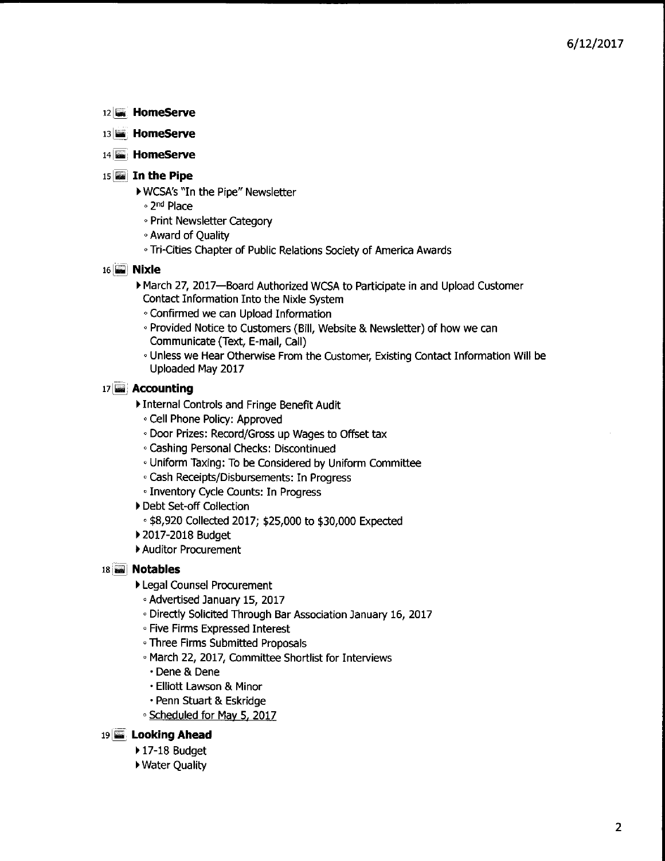- 12 **Home5erve**
- 13 **Home5erve**
- 14<sup>2</sup> HomeServe
- <sup>15</sup> ~j **In the Pipe**
	- ▶ WCSA's "In the Pipe" Newsletter
	- ,2nd Place
	- **Print Newsletter Category**
	- Award of Ouality
	- <sup>c</sup> Tri-Cities Chapter of Public Relations Society of America Awards
- 16 **iii Nixle** 
	- March 27, 2017-Board Authorized WCSA to Participate in and Upload Customer Contact Information Into the Nixle System
		- *<sup>o</sup>* Confirmed we can Upload Information
	- <sup>c</sup> Provided Notice to Customers (Bill, Website & Newsletter) of how we can Communicate (Text, E-mail, call)
	- <sup>o</sup> Unless we Hear Otherwise From the Customer, Existing Contact Information Will be Uploaded May 2017
- 17 **Accounting**
	- Internal Controls and Fringe Benefit Audit
		- <sup>c</sup> cell Phone Policy: Approved
	- . Door Prizes: Record/Gross up Wages to Offset tax
	- <sup>c</sup> Cashing Personal Checks: Discontinued
	- <sup>o</sup> UniformTaxing: To be Considered by Uniform Committee
	- <sup>o</sup> Cash Receipts/Disbursements: In Progress
	- <sup>c</sup> Inventory Cycle Counts: In Progress
	- Debt Set-off Collection
		- . \$8,920 Collected 2017; \$25,000 to \$30,000 Expected
	- 2017-2018 Budget
	- Auditor Procurement

#### 18 [~I **Notables**

- Legal Counsel Procurement
	- <sup>o</sup> Advertised January 15, 2017
	- **· Directly Solicited Through Bar Association January 16, 2017**
	- <sup>c</sup> Five Firms Expressed Interest
	- <sup>o</sup> Three Firms Submitted Proposals
	- <sup>o</sup> March 22, 2017, Committee Shortlist for Interviews
		- Dene & Dene
		- Elliott Lawson & Minor
		- Penn Stuart & Eskridge
	- <sup>c</sup> SCheduled for May 5, 2017

#### 19 **Looking Ahead**

- $\blacktriangleright$  17-18 Budget
- ▶ Water Quality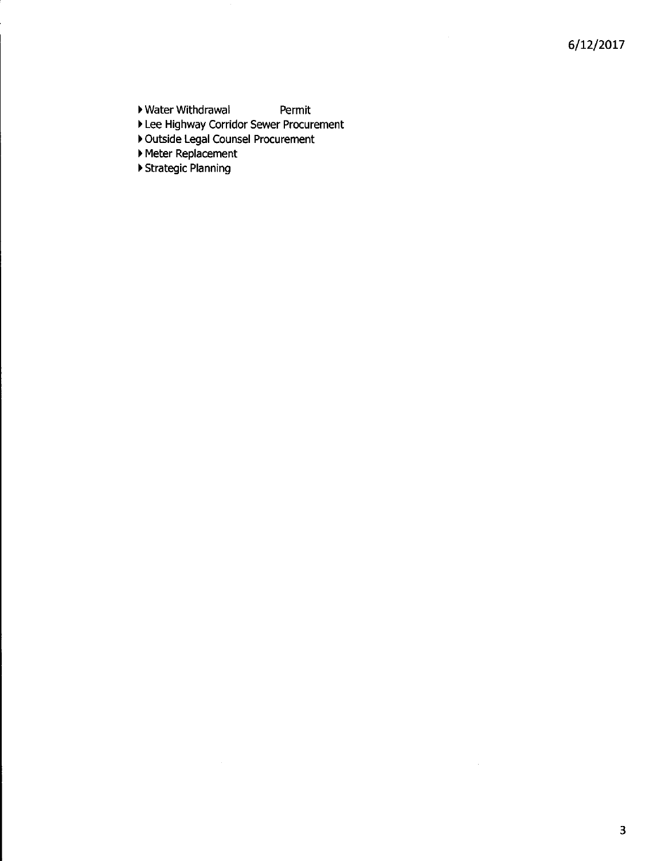- ▶ Water Withdrawal Permit
- Lee Highway Corridor Sewer Procurement
- Outside Legal Counsel Procurement
- Meter Replacement
- ▶ Strategic Planning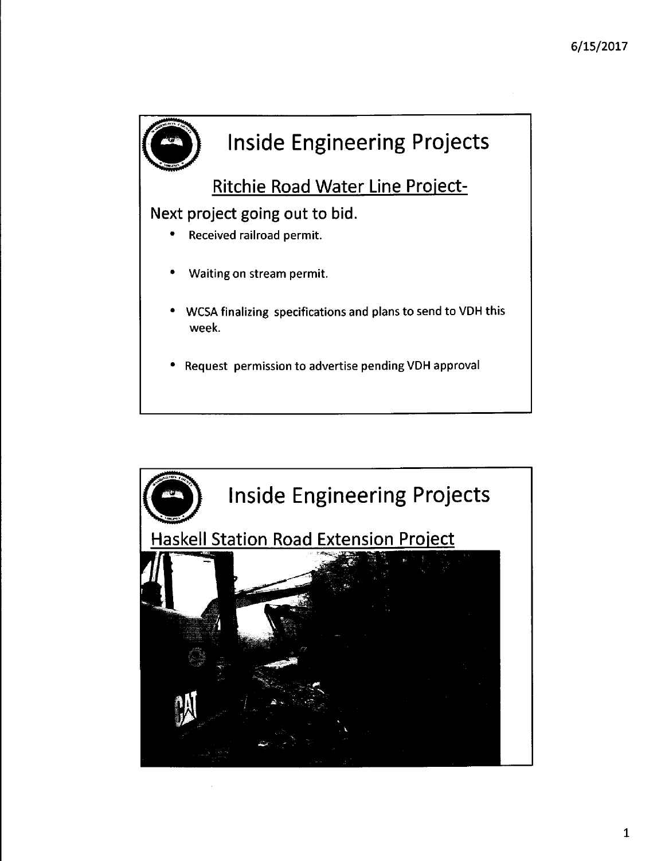

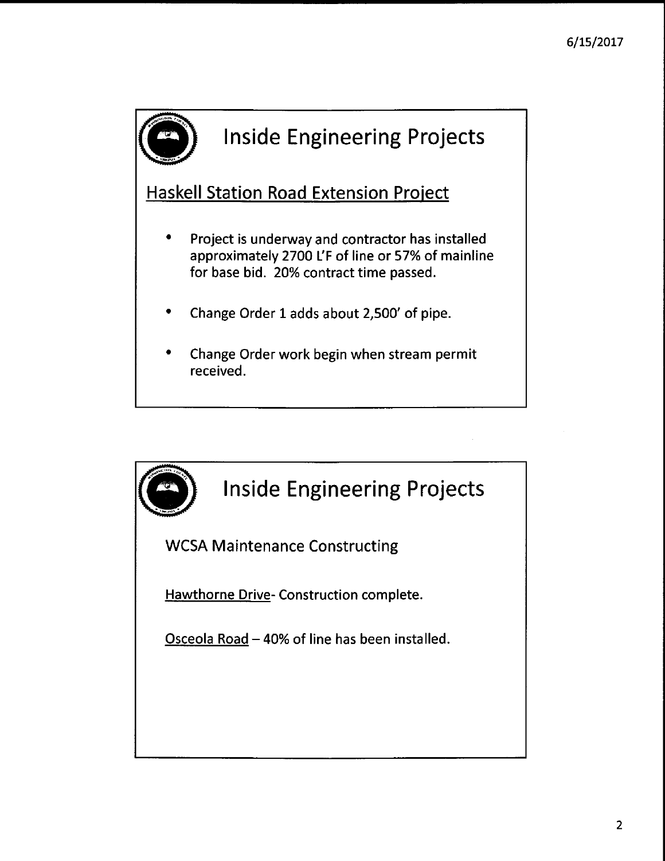

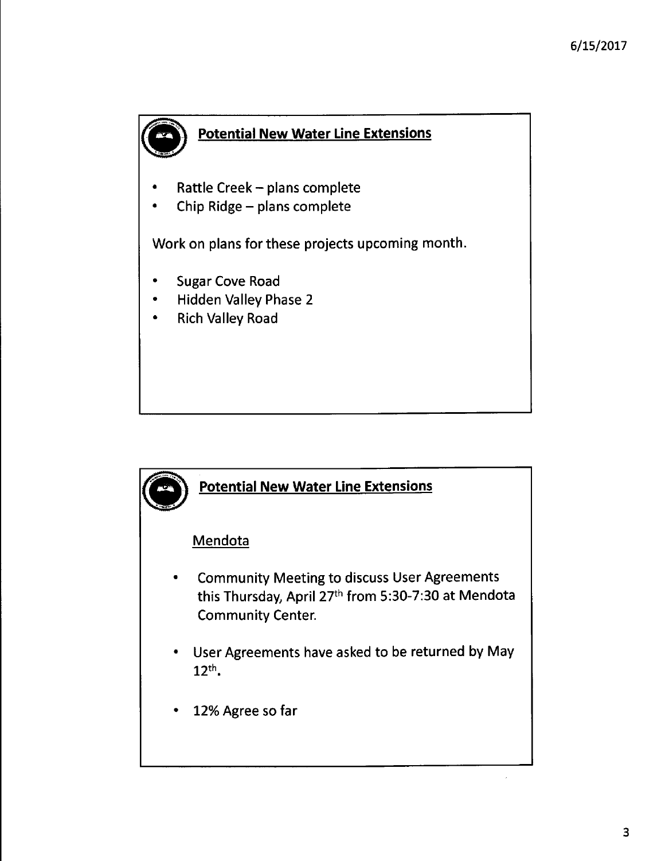

## **Potential New Water Line Extensions**

- Rattle Creek - plans complete
- Chip Ridge - plans complete

Work on plans for these projects upcoming month.

- Sugar Cove Road
- Hidden Valley Phase 2
- Rich Valley Road

### **Potential New Water Line Extensions**

### **Mendota**

- Community Meeting to discuss User Agreements this Thursday, April 27th from 5:30-7:30 at Mendota Community Center.
- User Agreements have asked to be returned by May  $12<sup>th</sup>$ .
- 12% Agree so far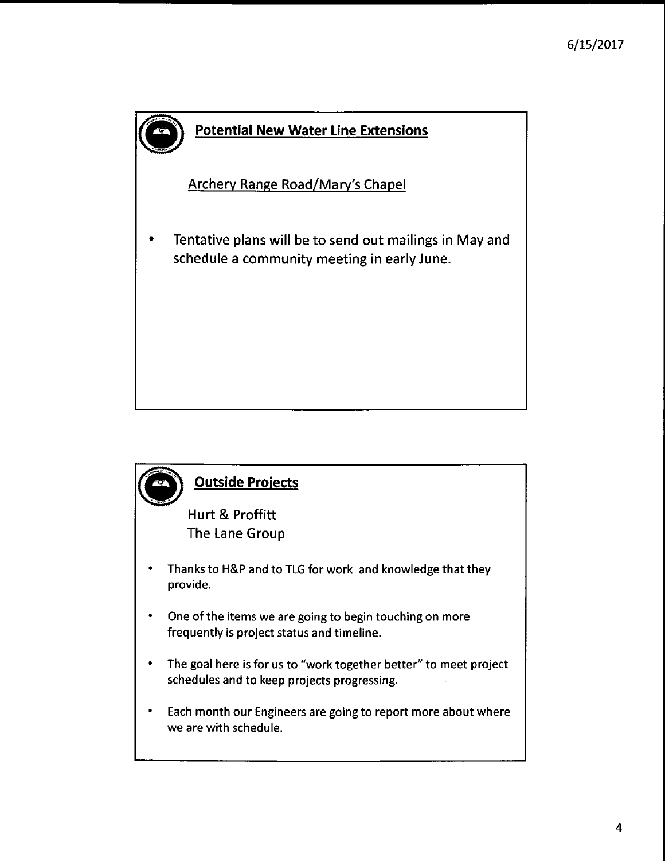

### **Potential New Water Line Extensions**

Archery Range Road/Mary's Chapel

• Tentative plans will be to send out mailings in May and schedule a community meeting in early June.